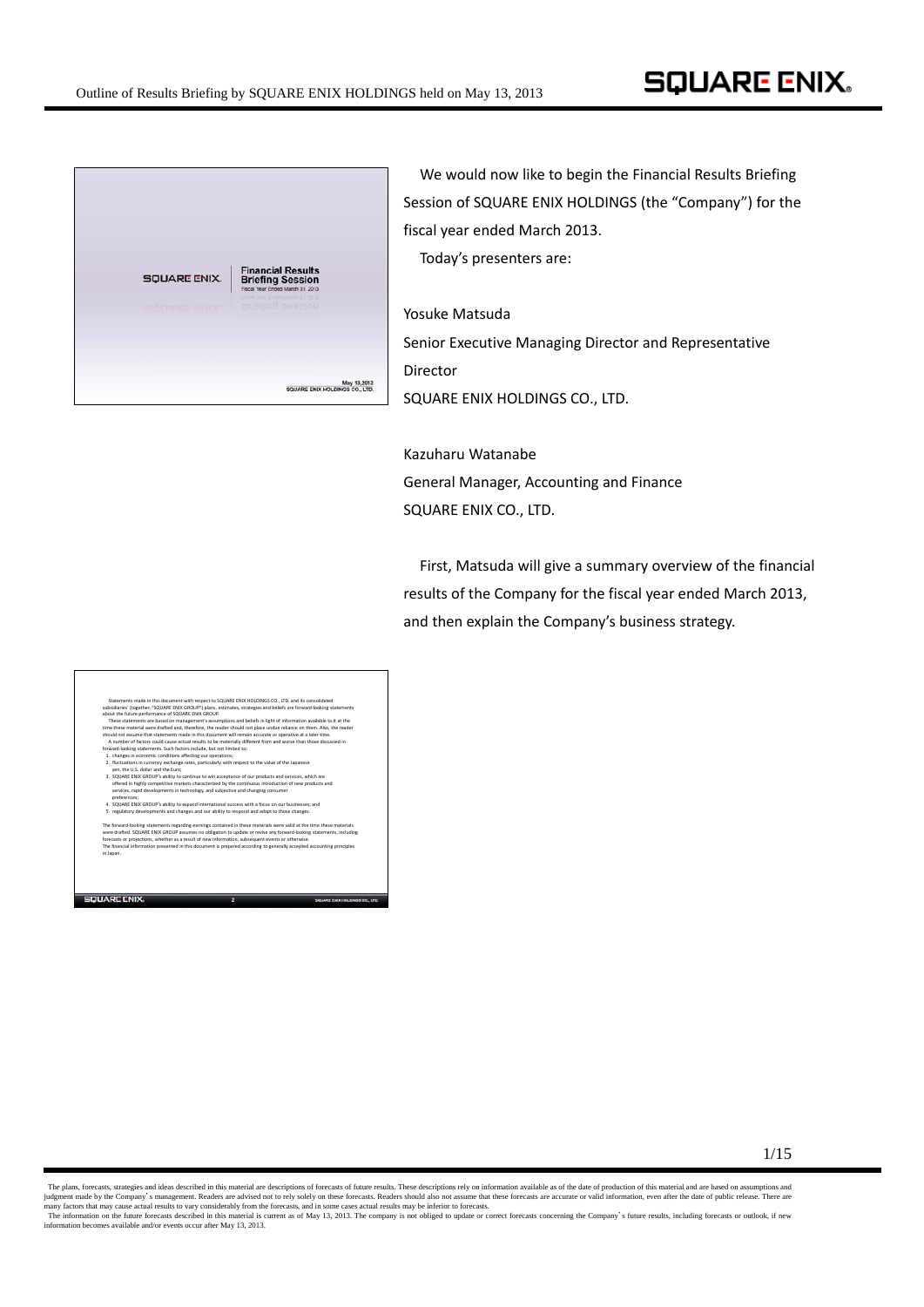

We would now like to begin the Financial Results Briefing Session of SQUARE ENIX HOLDINGS (the "Company") for the fiscal year ended March 2013.

Today's presenters are:

Yosuke Matsuda Senior Executive Managing Director and Representative Director SQUARE ENIX HOLDINGS CO., LTD.

Kazuharu Watanabe General Manager, Accounting and Finance SQUARE ENIX CO., LTD.

First, Matsuda will give a summary overview of the financial results of the Company for the fiscal year ended March 2013, and then explain the Company's business strategy.

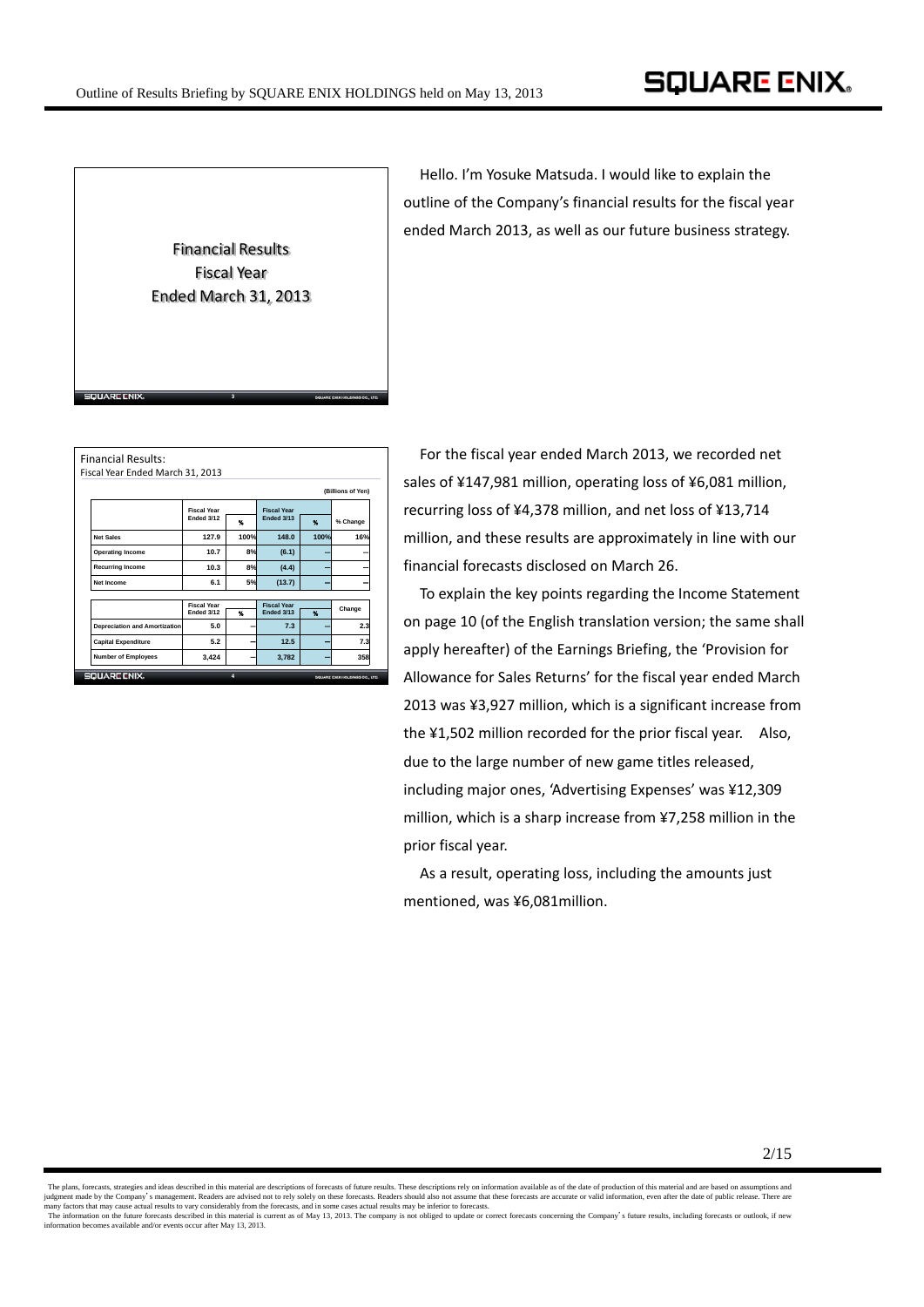

Hello. I'm Yosuke Matsuda. I would like to explain the outline of the Company's financial results for the fiscal year ended March 2013, as well as our future business strategy.

|                                      |                                  |                       |                                  |              | (Billions of Yen) |  |
|--------------------------------------|----------------------------------|-----------------------|----------------------------------|--------------|-------------------|--|
|                                      | <b>Fiscal Year</b>               |                       | <b>Fiscal Year</b>               |              |                   |  |
|                                      | Ended 3/12                       | $\boldsymbol{\kappa}$ | Ended 3/13                       | ٩.           | % Change          |  |
| <b>Net Sales</b>                     | 127.9                            | 100%                  | 148.0                            | 100%         | 16%               |  |
| <b>Operating Income</b>              | 10.7                             | 8%                    | (6.1)                            |              |                   |  |
| <b>Recurring Income</b>              | 10.3                             | 8%                    | (4.4)                            |              |                   |  |
| Net Income                           | 6.1                              | 5%                    | (13.7)                           |              |                   |  |
|                                      |                                  |                       |                                  |              |                   |  |
|                                      | <b>Fiscal Year</b><br>Ended 3/12 | $\boldsymbol{\kappa}$ | <b>Fiscal Year</b><br>Ended 3/13 | $\mathbf{M}$ | Change            |  |
| <b>Depreciation and Amortization</b> | 5.0                              |                       | 7.3                              |              | 2.3               |  |
| <b>Capital Expenditure</b>           | 5.2                              |                       | 12.5                             |              | 7.3               |  |
| <b>Number of Employees</b>           | 3,424                            |                       | 3,782                            |              | 358               |  |

For the fiscal year ended March 2013, we recorded net sales of ¥147,981 million, operating loss of ¥6,081 million, recurring loss of ¥4,378 million, and net loss of ¥13,714 million, and these results are approximately in line with our financial forecasts disclosed on March 26.

To explain the key points regarding the Income Statement on page 10 (of the English translation version; the same shall apply hereafter) of the Earnings Briefing, the 'Provision for Allowance for Sales Returns' for the fiscal year ended March 2013 was ¥3,927 million, which is a significant increase from the ¥1,502 million recorded for the prior fiscal year. Also, due to the large number of new game titles released, including major ones, 'Advertising Expenses' was ¥12,309 million, which is a sharp increase from ¥7,258 million in the prior fiscal year.

As a result, operating loss, including the amounts just mentioned, was ¥6,081million.

The plans, forecasts, strategies and ideas described in this material are descriptions of forecasts of future results. These descriptions rely on information available as of the date of production of this material and are judgment made by the Company's management. Readers are advised not to rely solely on these forecasts. Readers should also not assume that these forecasts are accurate or valid information, even after the date of public rel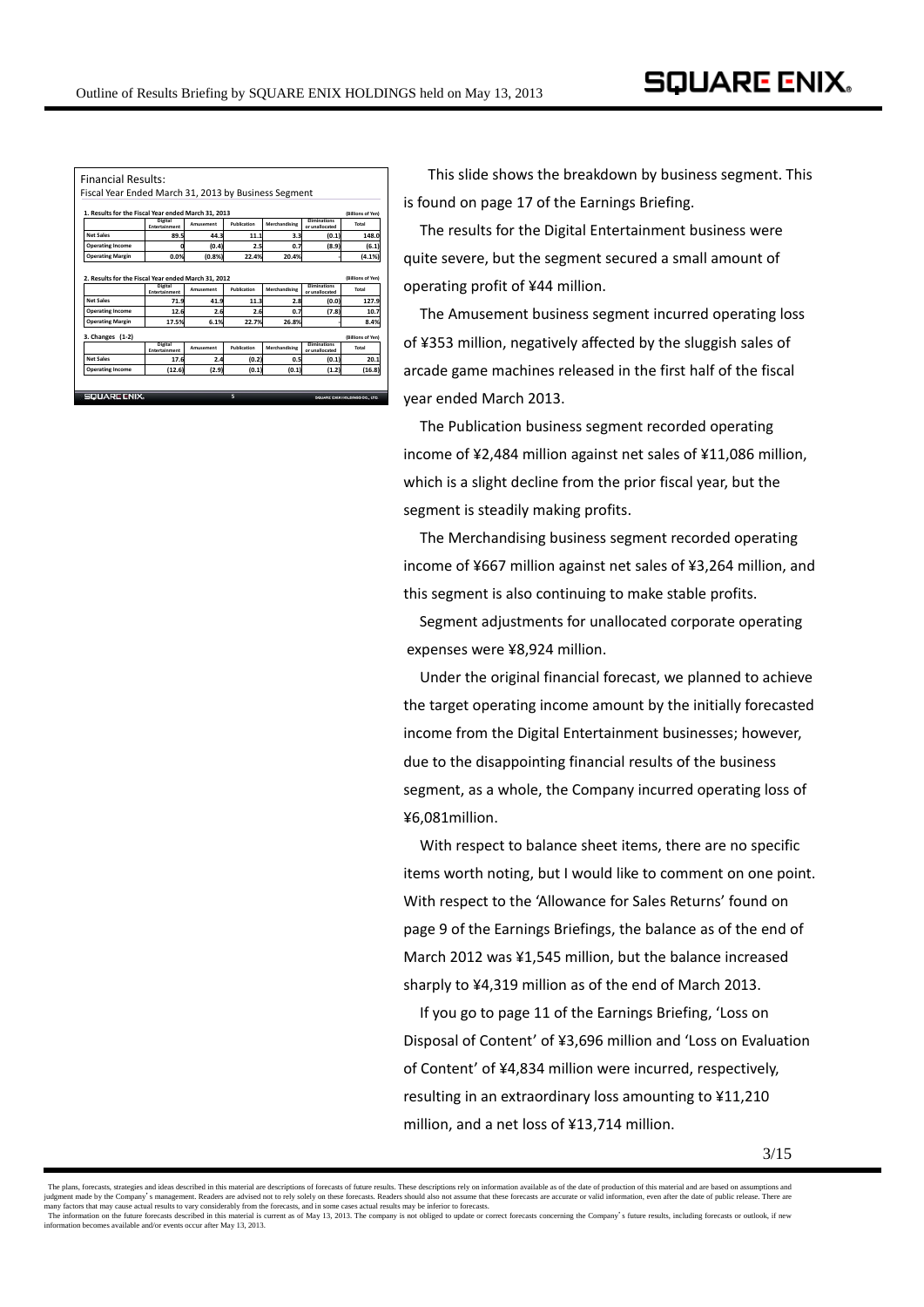|                                                                                              |                                 | Fiscal Year Ended March 31, 2013 by Business Segment |             |               |                                       | (Billions of Yen)                          |
|----------------------------------------------------------------------------------------------|---------------------------------|------------------------------------------------------|-------------|---------------|---------------------------------------|--------------------------------------------|
| 1. Results for the Fiscal Year ended March 31. 2013<br><b>Digital</b><br><b>Fliminations</b> |                                 |                                                      |             |               |                                       |                                            |
|                                                                                              | <b>Entertainment</b>            | <b>Amusement</b>                                     | Publication | Merchandising | or unallocated                        | Total                                      |
| <b>Net Sales</b>                                                                             | 89.5                            | 44.3                                                 | 11.1        | 3.3           | (0.1)                                 | 148.0                                      |
| <b>Operating Income</b>                                                                      |                                 | (0.4)                                                | 2.5         | 0.7           | (8.9)                                 | (6.1)                                      |
| <b>Operating Margin</b>                                                                      | 0.0%                            | (0.8%                                                | 22.4%       | 20.4%         |                                       | (4.1%                                      |
| 2. Results for the Fiscal Year ended March 31, 2012                                          | Digital<br>Entertainment        | Amusement                                            | Publication | Merchandising | <b>Fliminations</b><br>or unallocated | Total                                      |
| <b>Net Sales</b>                                                                             |                                 |                                                      |             |               |                                       |                                            |
| <b>Operating Income</b>                                                                      | 71.9<br>12.6                    | 41.9<br>2.6                                          | 11.3<br>2.6 | 2.8<br>0.7    | (0.0)<br>(7.8)                        |                                            |
| <b>Operating Margin</b>                                                                      | 17.5%                           | 6.1%                                                 | 22.7%       | 26.8%         |                                       | (Billions of Yen)<br>127.9<br>10.7<br>8.4% |
| 3. Changes (1-2)                                                                             |                                 |                                                      |             |               |                                       |                                            |
|                                                                                              | Digital<br><b>Entertainment</b> | <b>Amusement</b>                                     | Publication | Merchandising | <b>Fliminations</b><br>or unallocated | Total                                      |
| <b>Net Sales</b>                                                                             | 17.6                            | 2.4                                                  | (0.2)       | 0.5           | (0.1)                                 | (Billions of Yen)<br>20.1                  |

This slide shows the breakdown by business segment. This is found on page 17 of the Earnings Briefing.

The results for the Digital Entertainment business were quite severe, but the segment secured a small amount of operating profit of ¥44 million.

The Amusement business segment incurred operating loss of ¥353 million, negatively affected by the sluggish sales of arcade game machines released in the first half of the fiscal year ended March 2013.

The Publication business segment recorded operating income of ¥2,484 million against net sales of ¥11,086 million, which is a slight decline from the prior fiscal year, but the segment is steadily making profits.

The Merchandising business segment recorded operating income of ¥667 million against net sales of ¥3,264 million, and this segment is also continuing to make stable profits.

Segment adjustments for unallocated corporate operating expenses were ¥8,924 million.

Under the original financial forecast, we planned to achieve the target operating income amount by the initially forecasted income from the Digital Entertainment businesses; however, due to the disappointing financial results of the business segment, as a whole, the Company incurred operating loss of ¥6,081million.

With respect to balance sheet items, there are no specific items worth noting, but I would like to comment on one point. With respect to the 'Allowance for Sales Returns' found on page 9 of the Earnings Briefings, the balance as of the end of March 2012 was ¥1,545 million, but the balance increased sharply to ¥4,319 million as of the end of March 2013.

If you go to page 11 of the Earnings Briefing, 'Loss on Disposal of Content' of ¥3,696 million and 'Loss on Evaluation of Content' of ¥4,834 million were incurred, respectively, resulting in an extraordinary loss amounting to ¥11,210 million, and a net loss of ¥13,714 million.

The plans, forecasts, strategies and ideas described in this material are descriptions of forecasts of future results. These descriptions rely on information available as of the date of production of this material and are judgment made by the Company's management. Readers are advised not to rely solely on these forecasts. Readers should also not assume that these forecasts are accurate or valid information, even after the date of public rel information becomes available and/or events occur after May 13, 2013.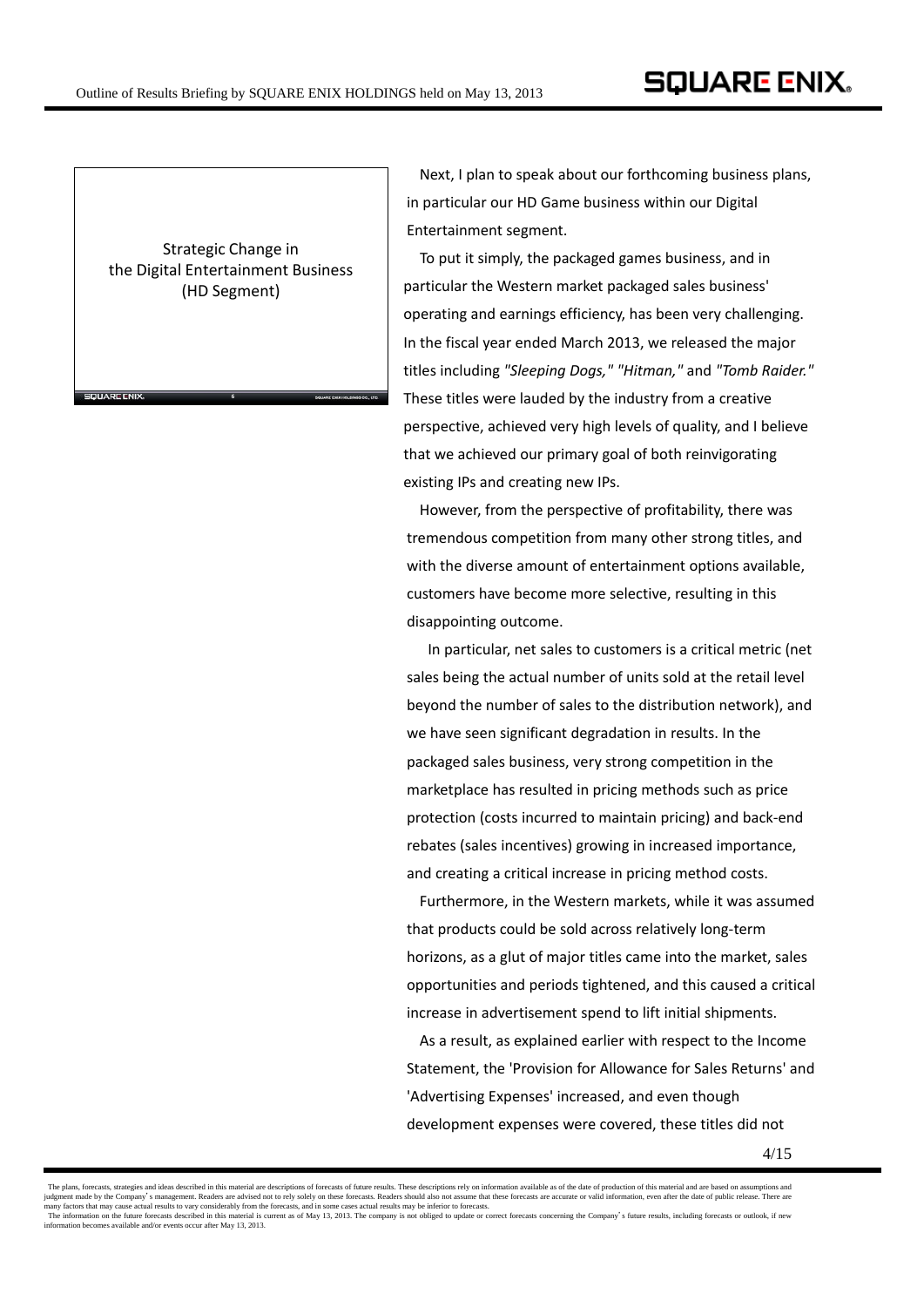Strategic Change in the Digital Entertainment Business (HD Segment)

**6**

**SQUARE CNIX** 

Next, I plan to speak about our forthcoming business plans, in particular our HD Game business within our Digital Entertainment segment.

To put it simply, the packaged games business, and in particular the Western market packaged sales business' operating and earnings efficiency, has been very challenging. In the fiscal year ended March 2013, we released the major titles including *"Sleeping Dogs," "Hitman,"* and *"Tomb Raider."* These titles were lauded by the industry from a creative perspective, achieved very high levels of quality, and I believe that we achieved our primary goal of both reinvigorating existing IPs and creating new IPs.

However, from the perspective of profitability, there was tremendous competition from many other strong titles, and with the diverse amount of entertainment options available, customers have become more selective, resulting in this disappointing outcome.

In particular, net sales to customers is a critical metric (net sales being the actual number of units sold at the retail level beyond the number of sales to the distribution network), and we have seen significant degradation in results. In the packaged sales business, very strong competition in the marketplace has resulted in pricing methods such as price protection (costs incurred to maintain pricing) and back‐end rebates (sales incentives) growing in increased importance, and creating a critical increase in pricing method costs.

Furthermore, in the Western markets, while it was assumed that products could be sold across relatively long‐term horizons, as a glut of major titles came into the market, sales opportunities and periods tightened, and this caused a critical increase in advertisement spend to lift initial shipments.

As a result, as explained earlier with respect to the Income Statement, the 'Provision for Allowance for Sales Returns' and 'Advertising Expenses' increased, and even though development expenses were covered, these titles did not

The plans, forecasts, strategies and ideas described in this material are descriptions of forecasts of future results. These descriptions rely on information available as of the date of production of this material and are judgment made by the Company's management. Readers are advised not to rely solely on these forecasts. Readers should also not assume that these forecasts are accurate or valid information, even after the date of public rel information becomes available and/or events occur after May 13, 2013.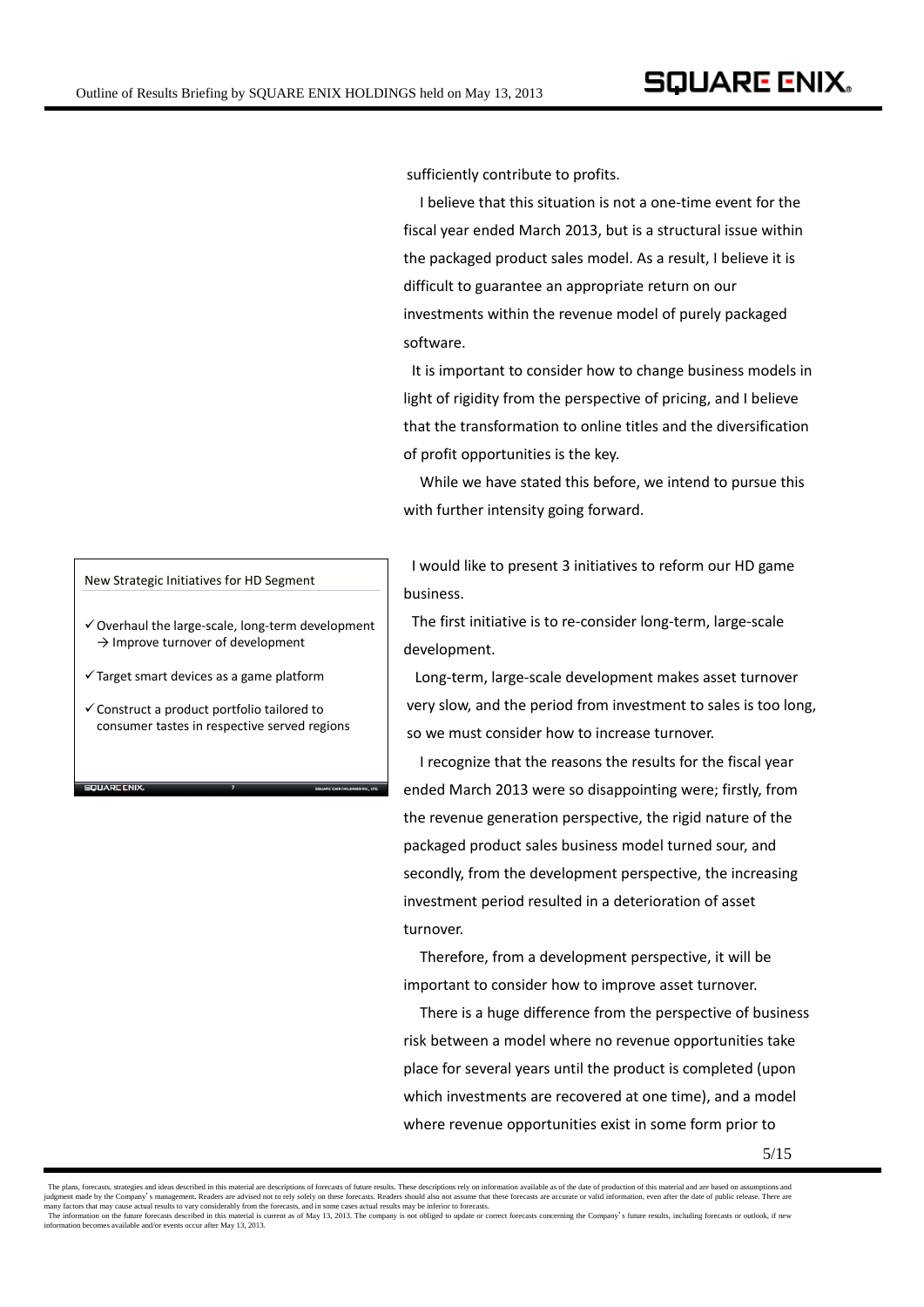sufficiently contribute to profits.

I believe that this situation is not a one‐time event for the fiscal year ended March 2013, but is a structural issue within the packaged product sales model. As a result, I believe it is difficult to guarantee an appropriate return on our investments within the revenue model of purely packaged software.

It is important to consider how to change business models in light of rigidity from the perspective of pricing, and I believe that the transformation to online titles and the diversification of profit opportunities is the key.

While we have stated this before, we intend to pursue this with further intensity going forward.

I would like to present 3 initiatives to reform our HD game **business** 

The first initiative is to re‐consider long‐term, large‐scale development.

Long‐term, large‐scale development makes asset turnover very slow, and the period from investment to sales is too long, so we must consider how to increase turnover.

 I recognize that the reasons the results for the fiscal year ended March 2013 were so disappointing were; firstly, from the revenue generation perspective, the rigid nature of the packaged product sales business model turned sour, and secondly, from the development perspective, the increasing investment period resulted in a deterioration of asset turnover.

Therefore, from a development perspective, it will be important to consider how to improve asset turnover.

There is a huge difference from the perspective of business risk between a model where no revenue opportunities take place for several years until the product is completed (upon which investments are recovered at one time), and a model where revenue opportunities exist in some form prior to

New Strategic Initiatives for HD Segment

- $\checkmark$  Overhaul the large-scale, long-term development  $\rightarrow$  Improve turnover of development
- $\checkmark$  Target smart devices as a game platform
- $\checkmark$  Construct a product portfolio tailored to consumer tastes in respective served regions

**7**

SQUARE CNIX

The plans, forecasts, strategies and ideas described in this material are descriptions of forecasts of future results. These descriptions rely on information available as of the date of production of this material and are judgment made by the Company's management. Readers are advised not to rely solely on these forecasts. Readers should also not assume that these forecasts are accurate or valid information, even after the date of public rel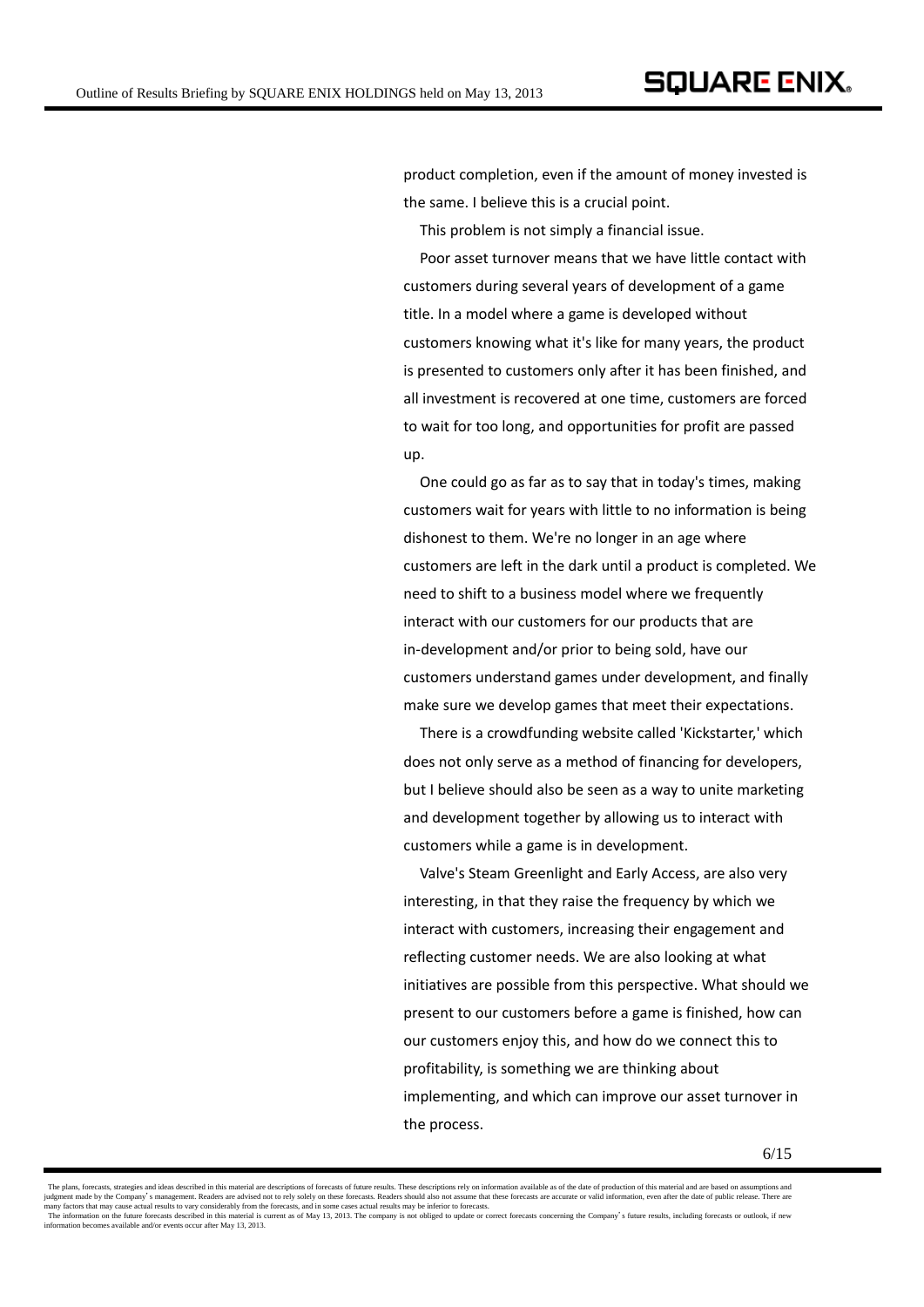product completion, even if the amount of money invested is the same. I believe this is a crucial point.

This problem is not simply a financial issue.

Poor asset turnover means that we have little contact with customers during several years of development of a game title. In a model where a game is developed without customers knowing what it's like for many years, the product is presented to customers only after it has been finished, and all investment is recovered at one time, customers are forced to wait for too long, and opportunities for profit are passed up.

One could go as far as to say that in today's times, making customers wait for years with little to no information is being dishonest to them. We're no longer in an age where customers are left in the dark until a product is completed. We need to shift to a business model where we frequently interact with our customers for our products that are in‐development and/or prior to being sold, have our customers understand games under development, and finally make sure we develop games that meet their expectations.

There is a crowdfunding website called 'Kickstarter,' which does not only serve as a method of financing for developers, but I believe should also be seen as a way to unite marketing and development together by allowing us to interact with customers while a game is in development.

Valve's Steam Greenlight and Early Access, are also very interesting, in that they raise the frequency by which we interact with customers, increasing their engagement and reflecting customer needs. We are also looking at what initiatives are possible from this perspective. What should we present to our customers before a game is finished, how can our customers enjoy this, and how do we connect this to profitability, is something we are thinking about implementing, and which can improve our asset turnover in the process.

The plans, forceasts, strategies and ideas described in this material and care based on assumptions and are based on assumptions and information available as of the date of production of this material and are based on assu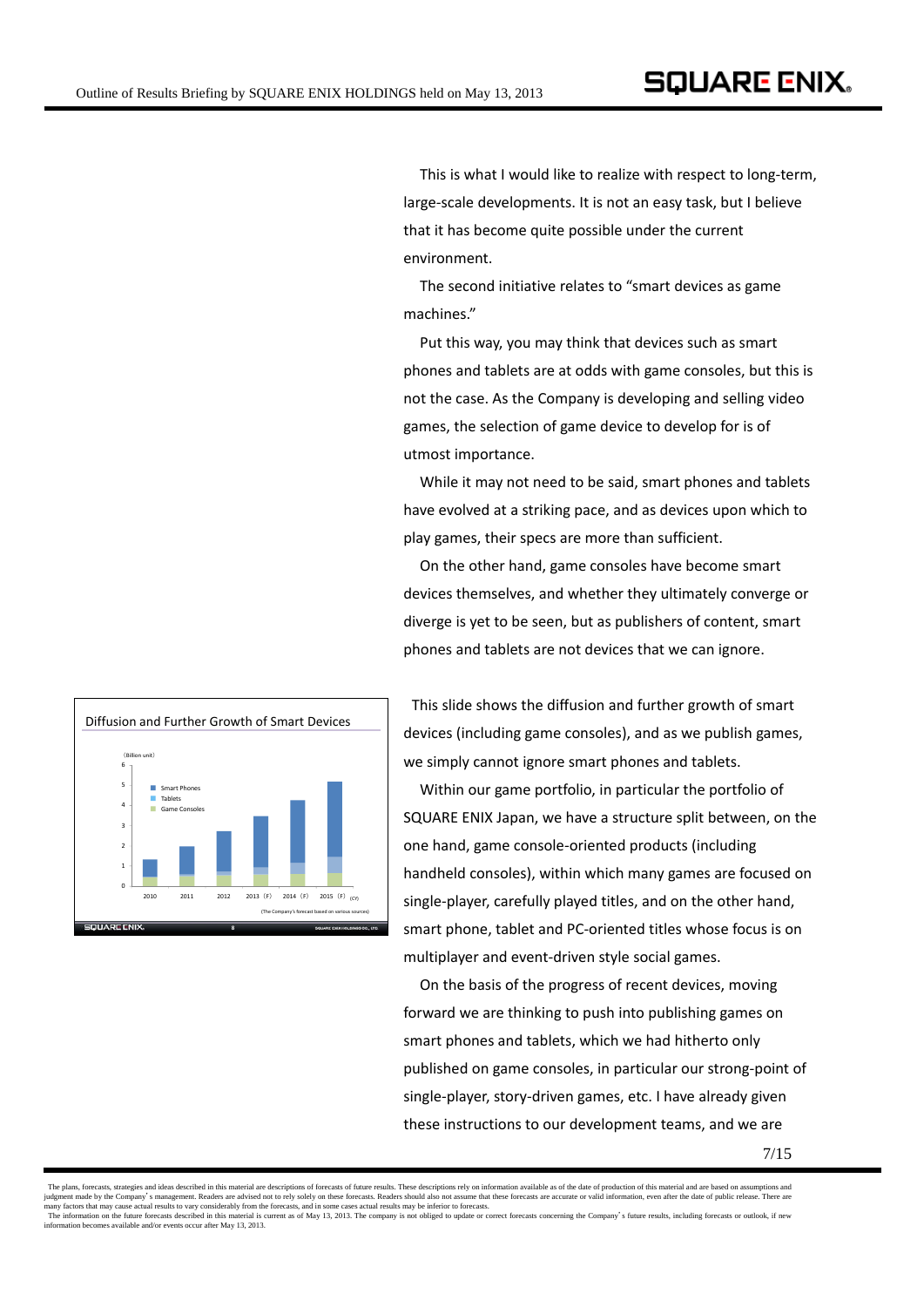This is what I would like to realize with respect to long‐term, large‐scale developments. It is not an easy task, but I believe that it has become quite possible under the current environment.

The second initiative relates to "smart devices as game machines."

Put this way, you may think that devices such as smart phones and tablets are at odds with game consoles, but this is not the case. As the Company is developing and selling video games, the selection of game device to develop for is of utmost importance.

While it may not need to be said, smart phones and tablets have evolved at a striking pace, and as devices upon which to play games, their specs are more than sufficient.

On the other hand, game consoles have become smart devices themselves, and whether they ultimately converge or diverge is yet to be seen, but as publishers of content, smart phones and tablets are not devices that we can ignore.



This slide shows the diffusion and further growth of smart devices (including game consoles), and as we publish games, we simply cannot ignore smart phones and tablets.

Within our game portfolio, in particular the portfolio of SQUARE ENIX Japan, we have a structure split between, on the one hand, game console‐oriented products (including handheld consoles), within which many games are focused on single‐player, carefully played titles, and on the other hand, smart phone, tablet and PC‐oriented titles whose focus is on multiplayer and event‐driven style social games.

On the basis of the progress of recent devices, moving forward we are thinking to push into publishing games on smart phones and tablets, which we had hitherto only published on game consoles, in particular our strong‐point of single‐player, story‐driven games, etc. I have already given these instructions to our development teams, and we are

The plans, forecasts, strategies and ideas described in this material are descriptions of forecasts of future results. These descriptions rely on information available as of the date of production of this material and are judgment made by the Company's management. Readers are advised not to rely solely on these forecasts. Readers should also not assume that these forecasts are accurate or valid information, even after the date of public rel information becomes available and/or events occur after May 13, 2013.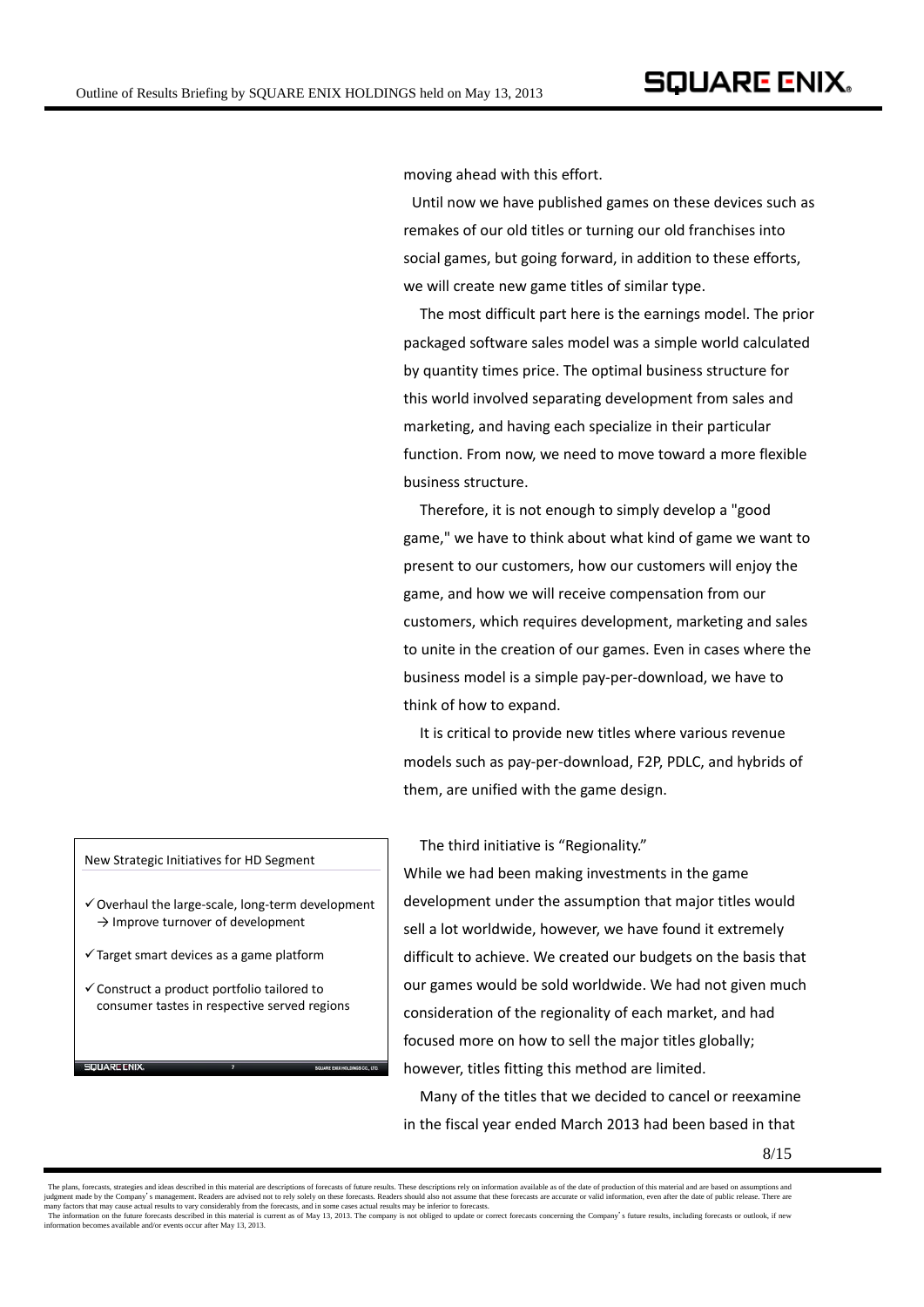moving ahead with this effort.

Until now we have published games on these devices such as remakes of our old titles or turning our old franchises into social games, but going forward, in addition to these efforts, we will create new game titles of similar type.

The most difficult part here is the earnings model. The prior packaged software sales model was a simple world calculated by quantity times price. The optimal business structure for this world involved separating development from sales and marketing, and having each specialize in their particular function. From now, we need to move toward a more flexible business structure.

Therefore, it is not enough to simply develop a "good game," we have to think about what kind of game we want to present to our customers, how our customers will enjoy the game, and how we will receive compensation from our customers, which requires development, marketing and sales to unite in the creation of our games. Even in cases where the business model is a simple pay‐per‐download, we have to think of how to expand.

It is critical to provide new titles where various revenue models such as pay‐per‐download, F2P, PDLC, and hybrids of them, are unified with the game design.

The third initiative is "Regionality."

While we had been making investments in the game development under the assumption that major titles would sell a lot worldwide, however, we have found it extremely difficult to achieve. We created our budgets on the basis that our games would be sold worldwide. We had not given much consideration of the regionality of each market, and had focused more on how to sell the major titles globally; however, titles fitting this method are limited.

Many of the titles that we decided to cancel or reexamine in the fiscal year ended March 2013 had been based in that

## New Strategic Initiatives for HD Segment

- $\checkmark$  Overhaul the large-scale, long-term development  $\rightarrow$  Improve turnover of development
- $\checkmark$  Target smart devices as a game platform

.<br>און זאס די האויר

 $\checkmark$  Construct a product portfolio tailored to consumer tastes in respective served regions

**7**

The plans, forecasts, strategies and ideas described in this material are descriptions of forecasts of future results. These descriptions rely on information available as of the date of production of this material and are judgment made by the Company's management. Readers are advised not to rely solely on these forecasts. Readers should also not assume that these forecasts are accurate or valid information, even after the date of public rel information becomes available and/or events occur after May 13, 2013.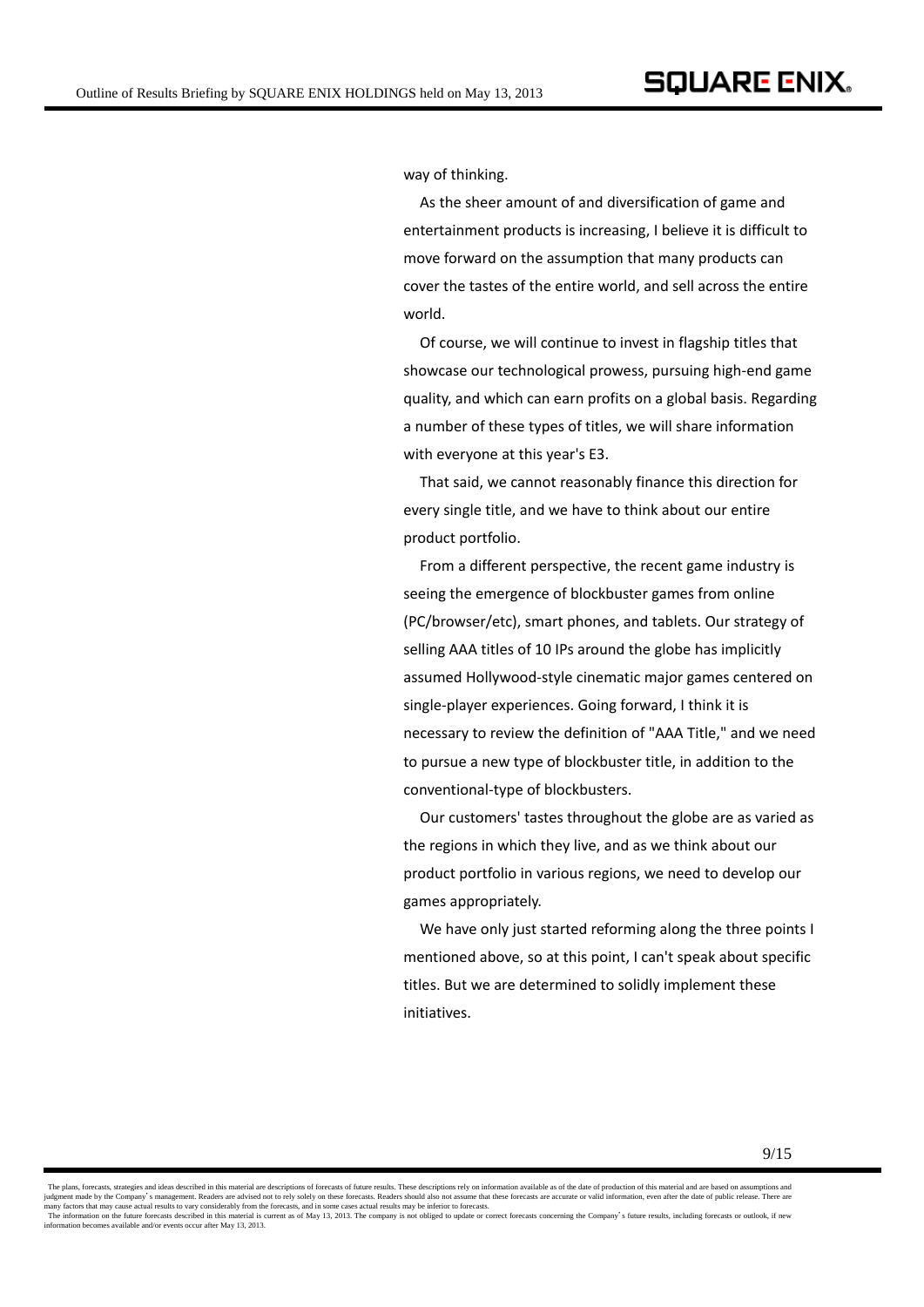way of thinking.

 As the sheer amount of and diversification of game and entertainment products is increasing, I believe it is difficult to move forward on the assumption that many products can cover the tastes of the entire world, and sell across the entire world.

Of course, we will continue to invest in flagship titles that showcase our technological prowess, pursuing high‐end game quality, and which can earn profits on a global basis. Regarding a number of these types of titles, we will share information with everyone at this year's E3.

That said, we cannot reasonably finance this direction for every single title, and we have to think about our entire product portfolio.

 From a different perspective, the recent game industry is seeing the emergence of blockbuster games from online (PC/browser/etc), smart phones, and tablets. Our strategy of selling AAA titles of 10 IPs around the globe has implicitly assumed Hollywood‐style cinematic major games centered on single‐player experiences. Going forward, I think it is necessary to review the definition of "AAA Title," and we need to pursue a new type of blockbuster title, in addition to the conventional‐type of blockbusters.

Our customers' tastes throughout the globe are as varied as the regions in which they live, and as we think about our product portfolio in various regions, we need to develop our games appropriately.

We have only just started reforming along the three points I mentioned above, so at this point, I can't speak about specific titles. But we are determined to solidly implement these initiatives.

The plans, forecasts, strategies and ideas described in this material are descriptions of forecasts of future results. These descriptions rely on information available as of the date of production of this material and are judgment made by the Company's management. Readers are advised not to rely solely on these forecasts. Readers should also not assume that these forecasts are accurate or valid information, even after the date of public rel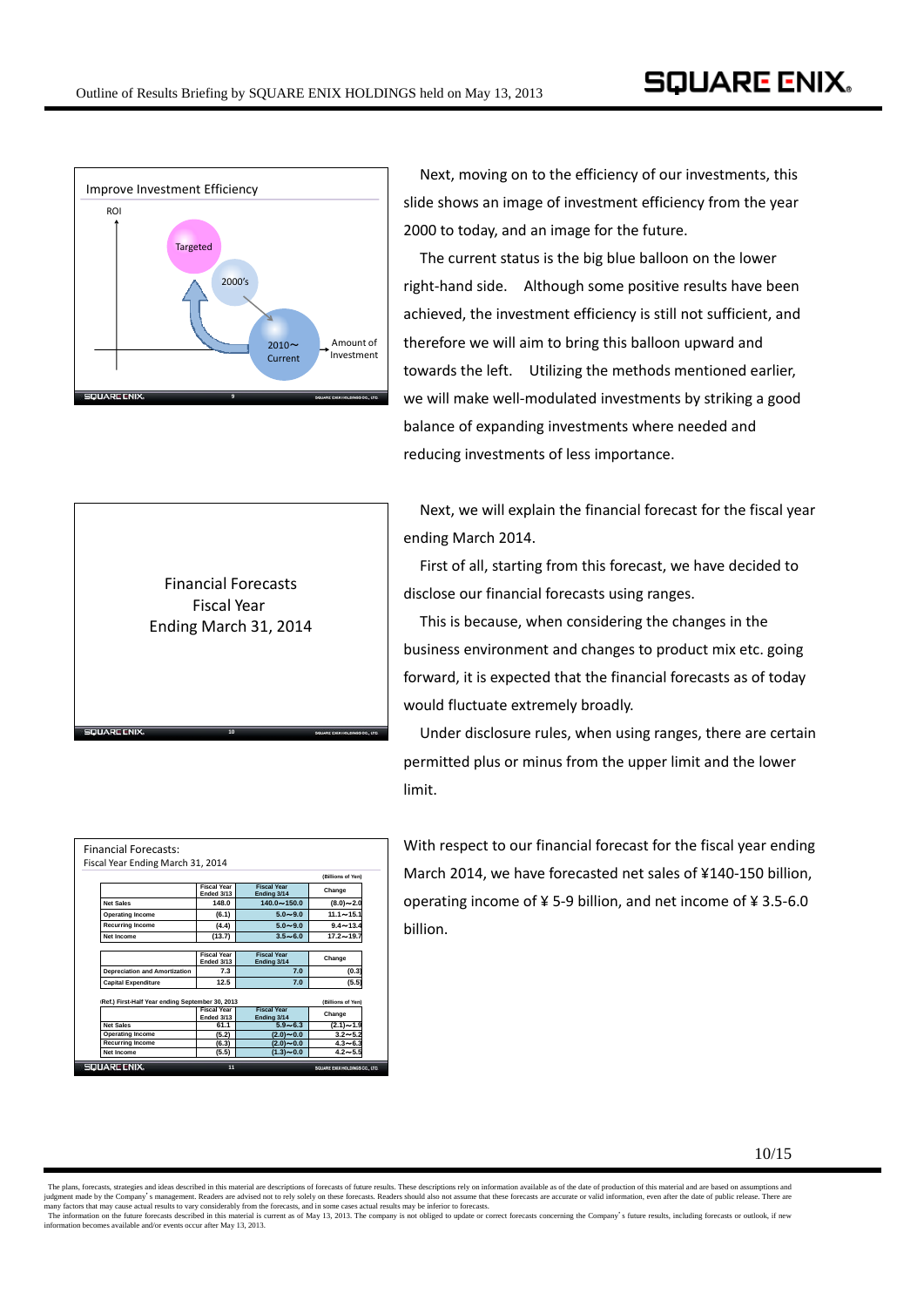

Next, moving on to the efficiency of our investments, this slide shows an image of investment efficiency from the year 2000 to today, and an image for the future.

The current status is the big blue balloon on the lower right-hand side. Although some positive results have been achieved, the investment efficiency is still not sufficient, and therefore we will aim to bring this balloon upward and towards the left. Utilizing the methods mentioned earlier, we will make well-modulated investments by striking a good balance of expanding investments where needed and reducing investments of less importance.

Next, we will explain the financial forecast for the fiscal year ending March 2014.

First of all, starting from this forecast, we have decided to disclose our financial forecasts using ranges.

This is because, when considering the changes in the business environment and changes to product mix etc. going forward, it is expected that the financial forecasts as of today would fluctuate extremely broadly.

Under disclosure rules, when using ranges, there are certain permitted plus or minus from the upper limit and the lower limit.

|                                                  | Fiscal Year Ending March 31, 2014 |                                   |                   |
|--------------------------------------------------|-----------------------------------|-----------------------------------|-------------------|
|                                                  |                                   |                                   | (Billions of Yen) |
|                                                  | <b>Fiscal Year</b><br>Ended 3/13  | <b>Fiscal Year</b><br>Ending 3/14 | Change            |
| <b>Net Sales</b>                                 | 148.0                             | $140.0 - 150.0$                   | $(8.0) \sim 2.0$  |
| <b>Operating Income</b>                          | (6.1)                             | $5.0 - 9.0$                       | $11.1 - 15.1$     |
| <b>Recurring Income</b>                          | (4.4)                             | $5.0 - 9.0$                       | $9.4 - 13.4$      |
| Net Income                                       | (13.7)                            | $3.5 - 6.0$                       | $17.2 - 19.7$     |
|                                                  |                                   |                                   |                   |
|                                                  | <b>Fiscal Year</b><br>Ended 3/13  | <b>Fiscal Year</b><br>Ending 3/14 | Change            |
| <b>Depreciation and Amortization</b>             | 7.3                               | 7.0                               | (0.3)             |
| <b>Capital Expenditure</b>                       | 12.5                              | 7.0                               | (5.5)             |
| (Ref.) First-Half Year ending September 30, 2013 |                                   |                                   | (Billions of Yen) |
|                                                  | <b>Fiscal Year</b><br>Ended 3/13  | <b>Fiscal Year</b><br>Ending 3/14 | Change            |
| <b>Net Sales</b>                                 | 61.1                              | $5.9 - 6.3$                       | $(2.1) \sim 1.9$  |
|                                                  | (5.2)                             | $(2.0) - 0.0$                     | $3.2 - 5.2$       |
| <b>Operating Income</b>                          |                                   |                                   |                   |
| <b>Recurring Income</b>                          | (6.3)                             | $(2.0) \sim 0.0$                  | $4.3 - 6.3$       |

**10**

**OLIAPE CNIX** 

Financial Forecasts Fiscal Year Ending March 31, 2014

> With respect to our financial forecast for the fiscal year ending March 2014, we have forecasted net sales of ¥140‐150 billion, operating income of ¥ 5‐9 billion, and net income of ¥ 3.5‐6.0 billion.

The plans, forecasts, strategies and ideas described in this material are descriptions of forecasts of future results. These descriptions rely on information available as of the date of production of this material and are judgment made by the Company's management. Readers are advised not to rely solely on these forecasts. Readers should also not assume that these forecasts are accurate or valid information, even after the date of public rel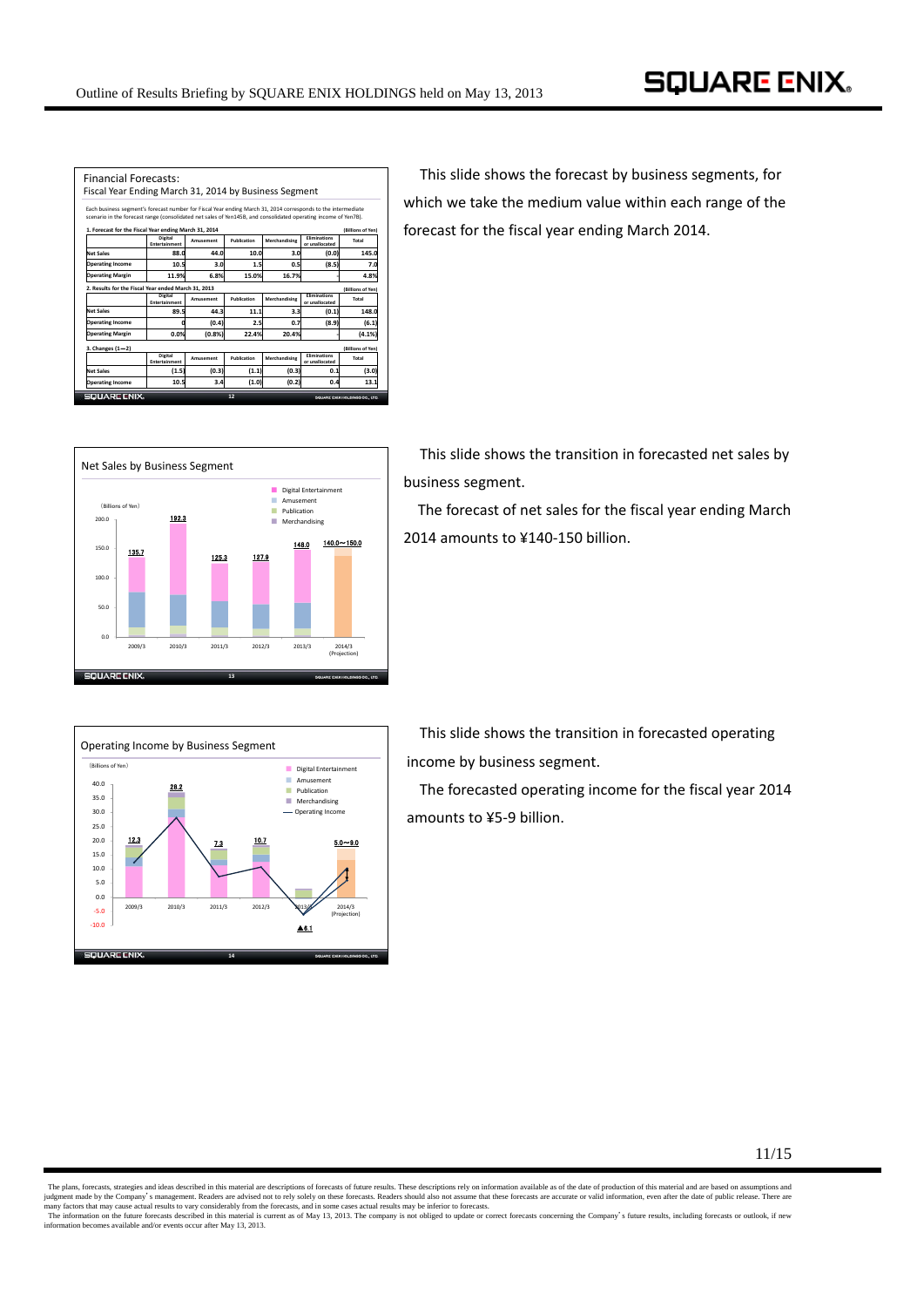| <b>Financial Forecasts:</b><br>Fiscal Year Ending March 31, 2014 by Business Segment                                                                                                                                             |                                        |           |             |               |                                       |                   |
|----------------------------------------------------------------------------------------------------------------------------------------------------------------------------------------------------------------------------------|----------------------------------------|-----------|-------------|---------------|---------------------------------------|-------------------|
| Each business segment's forecast number for Fiscal Year ending March 31, 2014 corresponds to the intermediate<br>scenario in the forecast range (consolidated net sales of Yen145B, and consolidated operating income of Yen7B). |                                        |           |             |               |                                       |                   |
| 1. Forecast for the Fiscal Year ending March 31, 2014                                                                                                                                                                            |                                        |           |             |               |                                       | (Billions of Yen) |
|                                                                                                                                                                                                                                  | <b>Digital</b><br><b>Entertainment</b> | Amusement | Publication | Merchandising | <b>Fliminations</b><br>or unallocated | Total             |
| Net Sales                                                                                                                                                                                                                        | 88.0                                   | 44.0      | 10.0        | 3.0           | (0.0)                                 | 145.0             |
| <b>Operating Income</b>                                                                                                                                                                                                          | 10.5                                   | 3.0       | 1.5         | 0.5           | (8.5)                                 | 7.0               |
| <b>Operating Margin</b>                                                                                                                                                                                                          | 11.9%                                  | 6.8%      | 15.0%       | 16.7%         |                                       | 4.8%              |
| 2. Results for the Fiscal Year ended March 31, 2013                                                                                                                                                                              |                                        |           |             |               |                                       | (Billions of Yen) |
|                                                                                                                                                                                                                                  | <b>Digital</b><br><b>Entertainment</b> | Amusement | Publication | Merchandising | <b>Fliminations</b><br>or unallocated | Total             |
| Net Sales                                                                                                                                                                                                                        | 89.5                                   | 44.3      | 11.1        | 3.3           | (0.1)                                 | 148.0             |
| <b>Operating Income</b>                                                                                                                                                                                                          | o                                      | (0.4)     | 2.5         | 0.7           | (8.9)                                 | (6.1)             |
| <b>Operating Margin</b>                                                                                                                                                                                                          | 0.0%                                   | (0.8%     | 22.4%       | 20.4%         |                                       | (4.1%             |
| 3. Changes (1-2)                                                                                                                                                                                                                 |                                        |           |             |               |                                       | (Billions of Yen) |
|                                                                                                                                                                                                                                  | <b>Digital</b><br>Entertainment        | Amusement | Publication | Merchandising | <b>Fliminations</b><br>or unallocated | Total             |
| Net Sales                                                                                                                                                                                                                        | (1.5)                                  | (0.3)     | (1.1)       | (0.3)         | 0.1                                   | (3.0)             |
| <b>Operating Income</b>                                                                                                                                                                                                          | 10.5                                   | 3.4       | (1.0)       | (0.2)         | 0.4                                   | 13.1              |
| <b>SOUARE CNIX.</b>                                                                                                                                                                                                              |                                        |           | 12          |               |                                       |                   |

This slide shows the forecast by business segments, for which we take the medium value within each range of the forecast for the fiscal year ending March 2014.



This slide shows the transition in forecasted net sales by business segment.

The forecast of net sales for the fiscal year ending March 2014 amounts to ¥140‐150 billion.



This slide shows the transition in forecasted operating income by business segment.

The forecasted operating income for the fiscal year 2014 amounts to ¥5‐9 billion.

11/15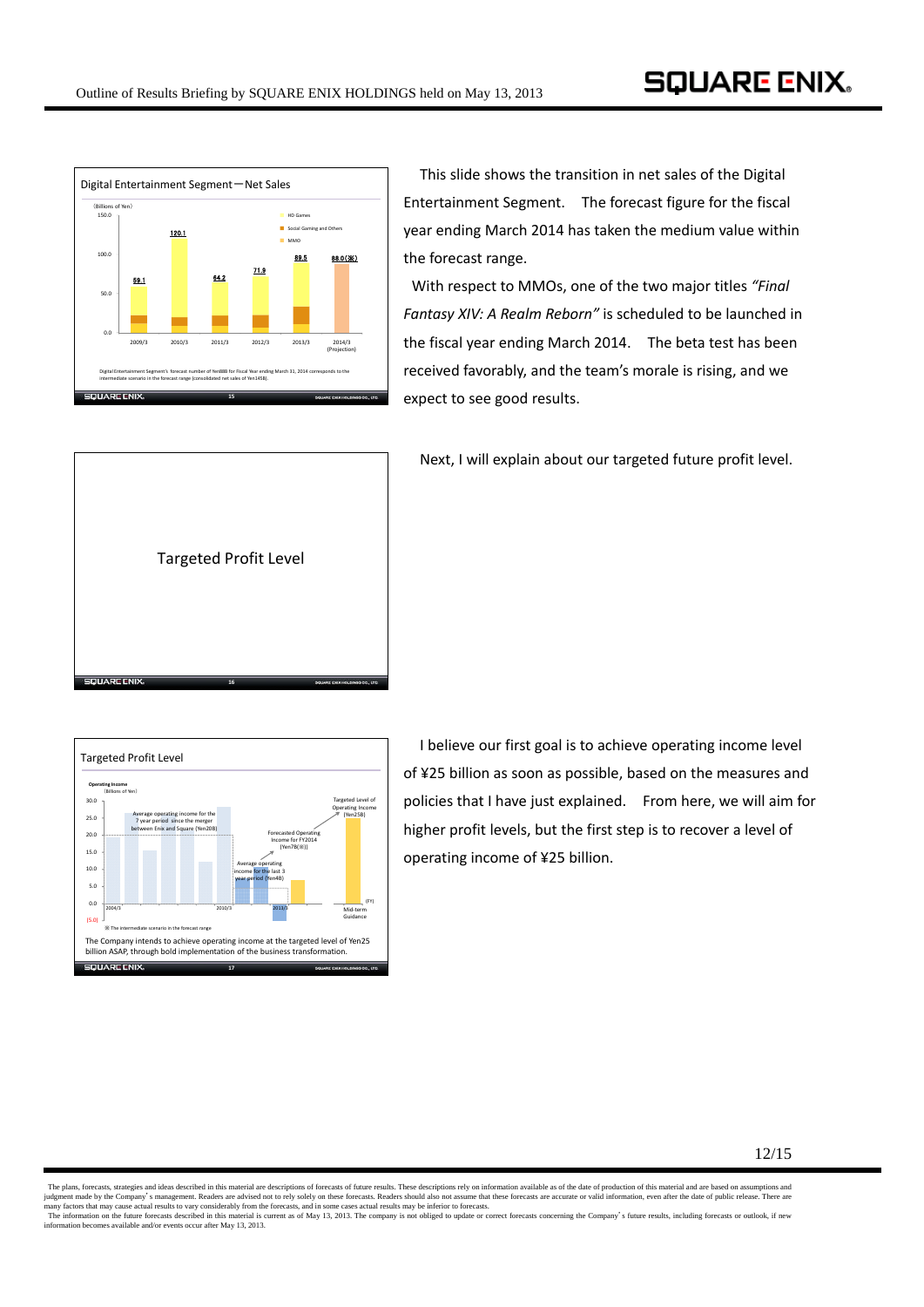

This slide shows the transition in net sales of the Digital Entertainment Segment. The forecast figure for the fiscal year ending March 2014 has taken the medium value within the forecast range.

With respect to MMOs, one of the two major titles *"Final Fantasy XIV: A Realm Reborn"* is scheduled to be launched in the fiscal year ending March 2014. The beta test has been received favorably, and the team's morale is rising, and we expect to see good results.



Next, I will explain about our targeted future profit level.



 I believe our first goal is to achieve operating income level of ¥25 billion as soon as possible, based on the measures and policies that I have just explained. From here, we will aim for higher profit levels, but the first step is to recover a level of operating income of ¥25 billion.

The plans, forecasts, strategies and ideas described in this material are descriptions of forecasts of future results. These descriptions rely on information available as of the date of production of this material and are judgment made by the Company's management. Readers are advised not to rely solely on these forecasts. Readers should also not assume that these forecasts are accurate or valid information, even after the date of public rel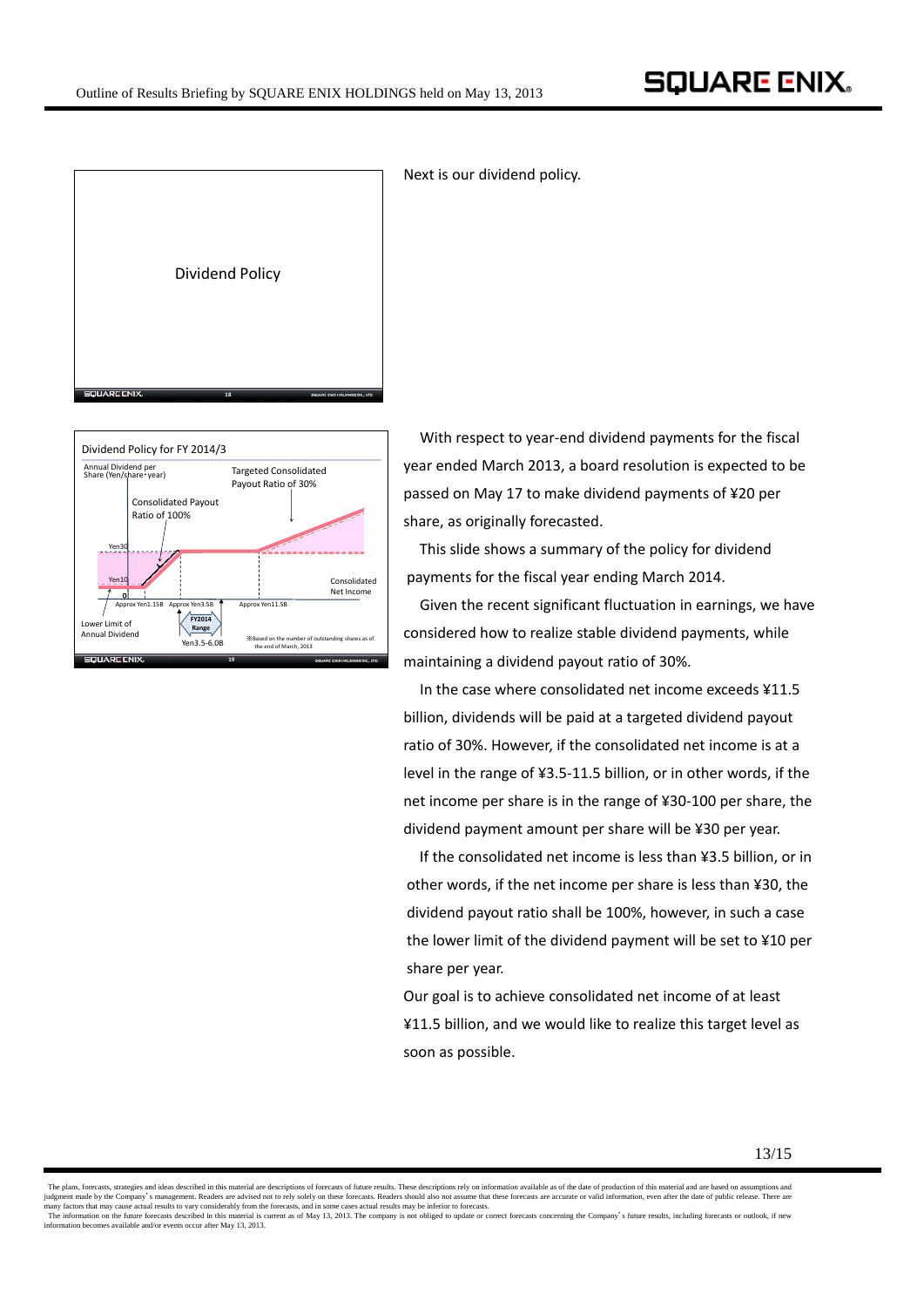



Next is our dividend policy.

With respect to year-end dividend payments for the fiscal year ended March 2013, a board resolution is expected to be passed on May 17 to make dividend payments of ¥20 per share, as originally forecasted.

This slide shows a summary of the policy for dividend payments for the fiscal year ending March 2014.

Given the recent significant fluctuation in earnings, we have considered how to realize stable dividend payments, while maintaining a dividend payout ratio of 30%.

In the case where consolidated net income exceeds ¥11.5 billion, dividends will be paid at a targeted dividend payout ratio of 30%. However, if the consolidated net income is at a level in the range of ¥3.5‐11.5 billion, or in other words, if the net income per share is in the range of ¥30‐100 per share, the dividend payment amount per share will be ¥30 per year.

If the consolidated net income is less than ¥3.5 billion, or in other words, if the net income per share is less than ¥30, the dividend payout ratio shall be 100%, however, in such a case the lower limit of the dividend payment will be set to ¥10 per share per year.

Our goal is to achieve consolidated net income of at least ¥11.5 billion, and we would like to realize this target level as soon as possible.

The plans, forecasts, strategies and ideas described in this material are descriptions of forecasts of future results. These descriptions rely on information available as of the date of production of this material and are judgment made by the Company's management. Readers are advised not to rely solely on these forecasts. Readers should also not assume that these forecasts are accurate or valid information, even after the date of public rel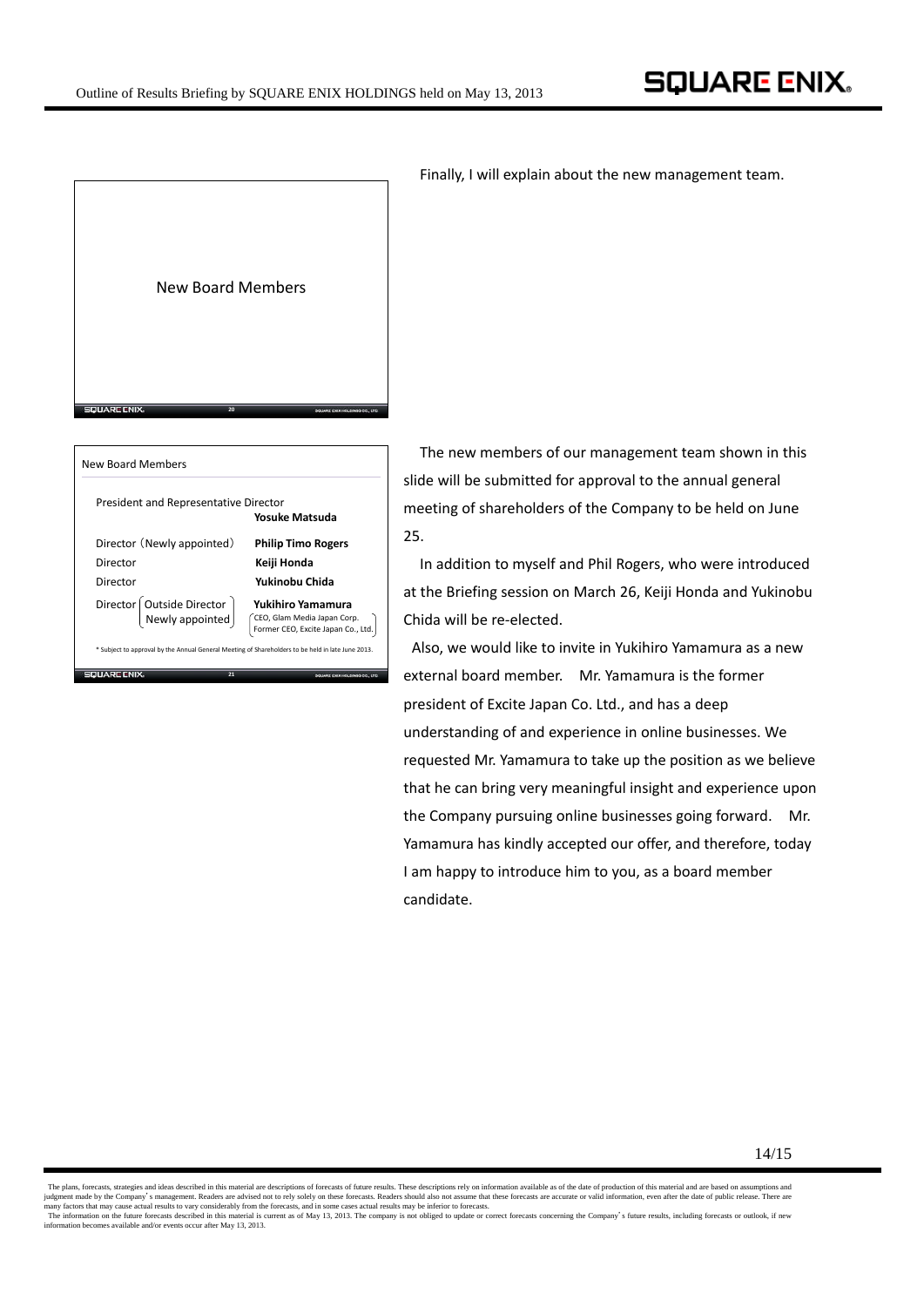

President and Representative Director **Yosuke Matsuda** CEO, Glam Media Japan Corp. Former CEO, Excite Japan Co., Ltd. Director **Keiji Honda** Director (Newly appointed) **Philip Timo Rogers** Director **Yukinobu Chida** Director Outside Director **Yukihiro Yamamura** Newly appointed 25.

\* Subject to approval by the Annual General Meeting of Shareholders to be held in late June 2013. QUARE ENIX **21**

Finally, I will explain about the new management team.

The new members of our management team shown in this slide will be submitted for approval to the annual general meeting of shareholders of the Company to be held on June

In addition to myself and Phil Rogers, who were introduced at the Briefing session on March 26, Keiji Honda and Yukinobu Chida will be re‐elected.

Also, we would like to invite in Yukihiro Yamamura as a new external board member. Mr. Yamamura is the former president of Excite Japan Co. Ltd., and has a deep understanding of and experience in online businesses. We requested Mr. Yamamura to take up the position as we believe that he can bring very meaningful insight and experience upon the Company pursuing online businesses going forward. Mr. Yamamura has kindly accepted our offer, and therefore, today I am happy to introduce him to you, as a board member candidate.